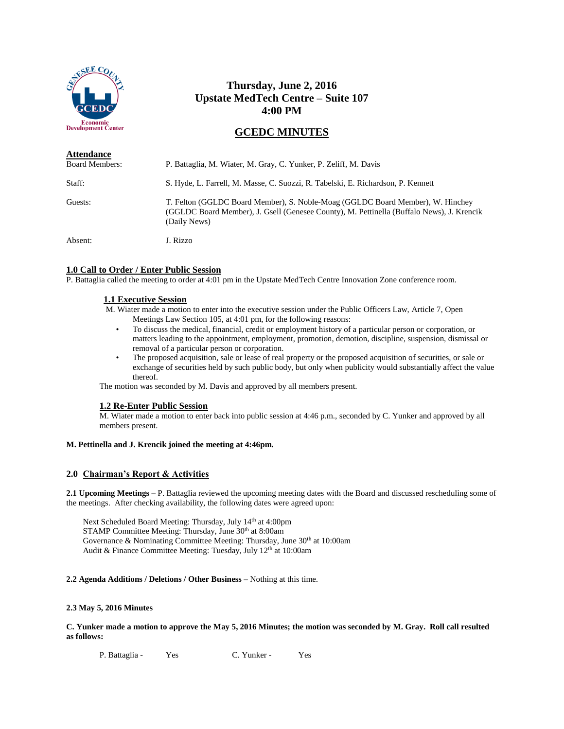

# **Thursday, June 2, 2016 Upstate MedTech Centre – Suite 107 4:00 PM**

# **GCEDC MINUTES**

| <b>Attendance</b><br><b>Board Members:</b> | P. Battaglia, M. Wiater, M. Gray, C. Yunker, P. Zeliff, M. Davis                                                                                                                            |
|--------------------------------------------|---------------------------------------------------------------------------------------------------------------------------------------------------------------------------------------------|
| Staff:                                     | S. Hyde, L. Farrell, M. Masse, C. Suozzi, R. Tabelski, E. Richardson, P. Kennett                                                                                                            |
| Guests:                                    | T. Felton (GGLDC Board Member), S. Noble-Moag (GGLDC Board Member), W. Hinchey<br>(GGLDC Board Member), J. Gsell (Genesee County), M. Pettinella (Buffalo News), J. Krencik<br>(Daily News) |
| Absent:                                    | J. Rizzo                                                                                                                                                                                    |

## **1.0 Call to Order / Enter Public Session**

P. Battaglia called the meeting to order at 4:01 pm in the Upstate MedTech Centre Innovation Zone conference room.

## **1.1 Executive Session**

M. Wiater made a motion to enter into the executive session under the Public Officers Law, Article 7, Open Meetings Law Section 105, at 4:01 pm, for the following reasons:

- To discuss the medical, financial, credit or employment history of a particular person or corporation, or matters leading to the appointment, employment, promotion, demotion, discipline, suspension, dismissal or removal of a particular person or corporation.
- The proposed acquisition, sale or lease of real property or the proposed acquisition of securities, or sale or exchange of securities held by such public body, but only when publicity would substantially affect the value thereof.

The motion was seconded by M. Davis and approved by all members present.

## **1.2 Re-Enter Public Session**

M. Wiater made a motion to enter back into public session at 4:46 p.m., seconded by C. Yunker and approved by all members present.

## **M. Pettinella and J. Krencik joined the meeting at 4:46pm.**

## **2.0 Chairman's Report & Activities**

**2.1 Upcoming Meetings –** P. Battaglia reviewed the upcoming meeting dates with the Board and discussed rescheduling some of the meetings. After checking availability, the following dates were agreed upon:

Next Scheduled Board Meeting: Thursday, July 14th at 4:00pm STAMP Committee Meeting: Thursday, June 30th at 8:00am Governance & Nominating Committee Meeting: Thursday, June 30<sup>th</sup> at 10:00am Audit & Finance Committee Meeting: Tuesday, July 12<sup>th</sup> at 10:00am

## **2.2 Agenda Additions / Deletions / Other Business –** Nothing at this time.

## **2.3 May 5, 2016 Minutes**

**C. Yunker made a motion to approve the May 5, 2016 Minutes; the motion was seconded by M. Gray. Roll call resulted as follows:**

P. Battaglia - Yes C. Yunker - Yes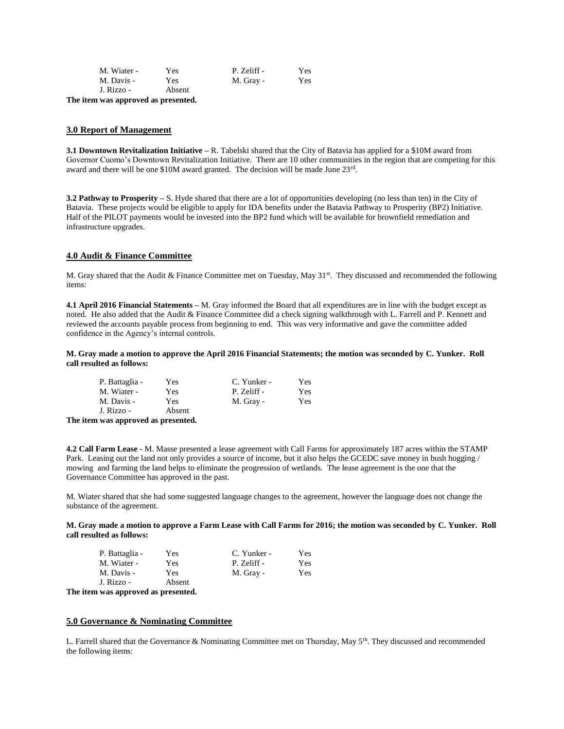| M. Wiater - | Yes    | P. Zeliff - | Yes        |
|-------------|--------|-------------|------------|
| M. Davis -  | Yes.   | M. Gray -   | <b>Yes</b> |
| J. Rizzo -  | Absent |             |            |

**The item was approved as presented.**

#### **3.0 Report of Management**

**3.1 Downtown Revitalization Initiative –** R. Tabelski shared that the City of Batavia has applied for a \$10M award from Governor Cuomo's Downtown Revitalization Initiative. There are 10 other communities in the region that are competing for this award and there will be one \$10M award granted. The decision will be made June 23rd.

**3.2 Pathway to Prosperity –** S. Hyde shared that there are a lot of opportunities developing (no less than ten) in the City of Batavia. These projects would be eligible to apply for IDA benefits under the Batavia Pathway to Prosperity (BP2) Initiative. Half of the PILOT payments would be invested into the BP2 fund which will be available for brownfield remediation and infrastructure upgrades.

#### **4.0 Audit & Finance Committee**

M. Gray shared that the Audit & Finance Committee met on Tuesday, May 31st. They discussed and recommended the following items:

**4.1 April 2016 Financial Statements –** M. Gray informed the Board that all expenditures are in line with the budget except as noted. He also added that the Audit & Finance Committee did a check signing walkthrough with L. Farrell and P. Kennett and reviewed the accounts payable process from beginning to end. This was very informative and gave the committee added confidence in the Agency's internal controls.

**M. Gray made a motion to approve the April 2016 Financial Statements; the motion was seconded by C. Yunker. Roll call resulted as follows:**

| P. Battaglia - | Yes    | C. Yunker - | Yes        |
|----------------|--------|-------------|------------|
| M. Wiater -    | Yes    | P. Zeliff - | <b>Yes</b> |
| M. Davis -     | Yes    | M. Gray -   | Yes        |
| J. Rizzo -     | Absent |             |            |

**The item was approved as presented.**

**4.2 Call Farm Lease -** M. Masse presented a lease agreement with Call Farms for approximately 187 acres within the STAMP Park. Leasing out the land not only provides a source of income, but it also helps the GCEDC save money in bush hogging / mowing and farming the land helps to eliminate the progression of wetlands. The lease agreement is the one that the Governance Committee has approved in the past.

M. Wiater shared that she had some suggested language changes to the agreement, however the language does not change the substance of the agreement.

#### **M. Gray made a motion to approve a Farm Lease with Call Farms for 2016; the motion was seconded by C. Yunker. Roll call resulted as follows:**

| P. Battaglia - | Yes    | C. Yunker - | Yes |
|----------------|--------|-------------|-----|
| M. Wiater -    | Yes    | P. Zeliff - | Yes |
| M. Davis -     | Yes    | M. Gray -   | Yes |
| J. Rizzo -     | Absent |             |     |

**The item was approved as presented.**

#### **5.0 Governance & Nominating Committee**

L. Farrell shared that the Governance & Nominating Committee met on Thursday, May  $5<sup>th</sup>$ . They discussed and recommended the following items: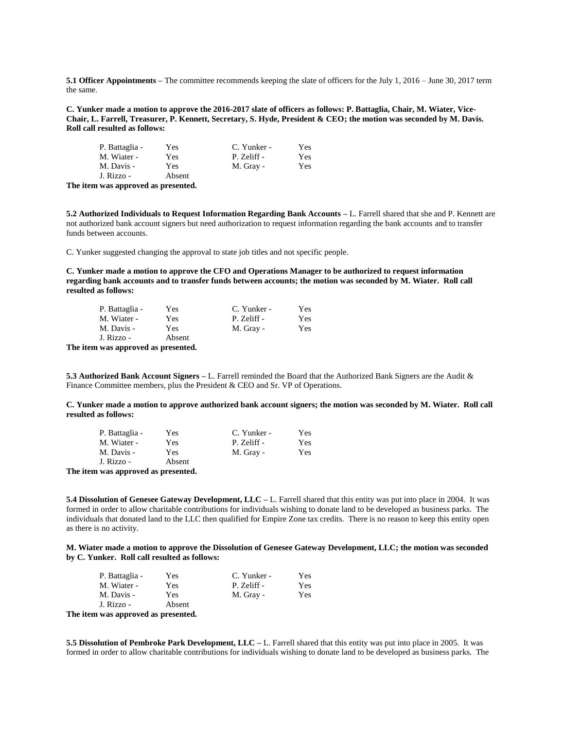**5.1 Officer Appointments –** The committee recommends keeping the slate of officers for the July 1, 2016 – June 30, 2017 term the same.

**C. Yunker made a motion to approve the 2016-2017 slate of officers as follows: P. Battaglia, Chair, M. Wiater, Vice-Chair, L. Farrell, Treasurer, P. Kennett, Secretary, S. Hyde, President & CEO; the motion was seconded by M. Davis. Roll call resulted as follows:**

| P. Battaglia -                      | Yes    | C. Yunker - | Yes |
|-------------------------------------|--------|-------------|-----|
| M. Wiater -                         | Yes    | P. Zeliff - | Yes |
| M. Davis -                          | Yes    | M. Gray -   | Yes |
| J. Rizzo -                          | Absent |             |     |
| The item was approved as presented. |        |             |     |

**5.2 Authorized Individuals to Request Information Regarding Bank Accounts –** L. Farrell shared that she and P. Kennett are not authorized bank account signers but need authorization to request information regarding the bank accounts and to transfer funds between accounts.

C. Yunker suggested changing the approval to state job titles and not specific people.

**C. Yunker made a motion to approve the CFO and Operations Manager to be authorized to request information regarding bank accounts and to transfer funds between accounts; the motion was seconded by M. Wiater. Roll call resulted as follows:**

| P. Battaglia - | Yes    | C. Yunker - | Yes |
|----------------|--------|-------------|-----|
| M. Wiater -    | Yes    | P. Zeliff - | Yes |
| M. Davis -     | Yes.   | M. Gray -   | Yes |
| J. Rizzo -     | Absent |             |     |

**The item was approved as presented.**

**5.3 Authorized Bank Account Signers –** L. Farrell reminded the Board that the Authorized Bank Signers are the Audit & Finance Committee members, plus the President & CEO and Sr. VP of Operations.

**C. Yunker made a motion to approve authorized bank account signers; the motion was seconded by M. Wiater. Roll call resulted as follows:**

| P. Battaglia - | Yes    | C. Yunker - | Yes |
|----------------|--------|-------------|-----|
| M. Wiater -    | Yes    | P. Zeliff - | Yes |
| M. Davis -     | Yes    | M. Gray -   | Yes |
| J. Rizzo -     | Absent |             |     |
|                |        |             |     |

**The item was approved as presented.**

**5.4 Dissolution of Genesee Gateway Development, LLC –** L. Farrell shared that this entity was put into place in 2004. It was formed in order to allow charitable contributions for individuals wishing to donate land to be developed as business parks. The individuals that donated land to the LLC then qualified for Empire Zone tax credits. There is no reason to keep this entity open as there is no activity.

**M. Wiater made a motion to approve the Dissolution of Genesee Gateway Development, LLC; the motion was seconded by C. Yunker. Roll call resulted as follows:**

| P. Battaglia -                      | Yes    | C. Yunker - | Yes |
|-------------------------------------|--------|-------------|-----|
| M. Wiater -                         | Yes    | P. Zeliff - | Yes |
| M. Davis -                          | Yes    | M. Gray -   | Yes |
| J. Rizzo -                          | Absent |             |     |
| The item was approved as presented. |        |             |     |

**5.5 Dissolution of Pembroke Park Development, LLC –** L. Farrell shared that this entity was put into place in 2005. It was formed in order to allow charitable contributions for individuals wishing to donate land to be developed as business parks. The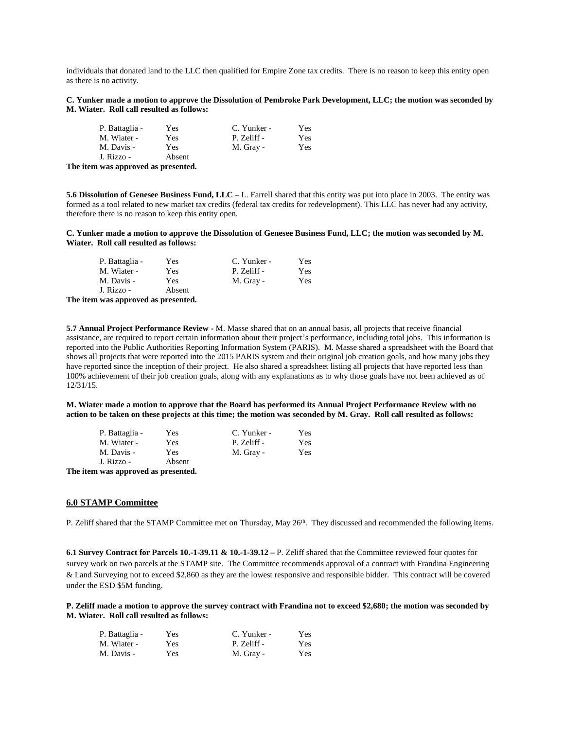individuals that donated land to the LLC then qualified for Empire Zone tax credits. There is no reason to keep this entity open as there is no activity.

**C. Yunker made a motion to approve the Dissolution of Pembroke Park Development, LLC; the motion was seconded by M. Wiater. Roll call resulted as follows:**

| P. Battaglia - | Yes    | C. Yunker - | Yes |
|----------------|--------|-------------|-----|
| M. Wiater -    | Yes    | P. Zeliff - | Yes |
| M. Davis -     | Yes    | M. Gray -   | Yes |
| J. Rizzo -     | Absent |             |     |

**The item was approved as presented.**

**5.6 Dissolution of Genesee Business Fund, LLC –** L. Farrell shared that this entity was put into place in 2003. The entity was formed as a tool related to new market tax credits (federal tax credits for redevelopment). This LLC has never had any activity, therefore there is no reason to keep this entity open.

#### **C. Yunker made a motion to approve the Dissolution of Genesee Business Fund, LLC; the motion was seconded by M. Wiater. Roll call resulted as follows:**

| P. Battaglia - | Yes    | C. Yunker - | Yes |
|----------------|--------|-------------|-----|
| M. Wiater -    | Yes    | P. Zeliff - | Yes |
| M. Davis -     | Yes    | M. Gray -   | Yes |
| J. Rizzo -     | Absent |             |     |

**The item was approved as presented.**

**5.7 Annual Project Performance Review -** M. Masse shared that on an annual basis, all projects that receive financial assistance, are required to report certain information about their project's performance, including total jobs. This information is reported into the Public Authorities Reporting Information System (PARIS). M. Masse shared a spreadsheet with the Board that shows all projects that were reported into the 2015 PARIS system and their original job creation goals, and how many jobs they have reported since the inception of their project. He also shared a spreadsheet listing all projects that have reported less than 100% achievement of their job creation goals, along with any explanations as to why those goals have not been achieved as of 12/31/15.

**M. Wiater made a motion to approve that the Board has performed its Annual Project Performance Review with no action to be taken on these projects at this time; the motion was seconded by M. Gray. Roll call resulted as follows:**

| P. Battaglia - | Yes    | C. Yunker - | Yes |
|----------------|--------|-------------|-----|
| M. Wiater -    | Yes    | P. Zeliff - | Yes |
| M. Davis -     | Yes    | M. Gray -   | Yes |
| J. Rizzo -     | Absent |             |     |
|                |        |             |     |

**The item was approved as presented.**

#### **6.0 STAMP Committee**

P. Zeliff shared that the STAMP Committee met on Thursday, May 26<sup>th</sup>. They discussed and recommended the following items.

**6.1 Survey Contract for Parcels 10.-1-39.11 & 10.-1-39.12 –** P. Zeliff shared that the Committee reviewed four quotes for survey work on two parcels at the STAMP site. The Committee recommends approval of a contract with Frandina Engineering & Land Surveying not to exceed \$2,860 as they are the lowest responsive and responsible bidder. This contract will be covered under the ESD \$5M funding.

**P. Zeliff made a motion to approve the survey contract with Frandina not to exceed \$2,680; the motion was seconded by M. Wiater. Roll call resulted as follows:**

| P. Battaglia - | Yes | C. Yunker - | Yes  |
|----------------|-----|-------------|------|
| M. Wiater -    | Yes | P. Zeliff - | Yes  |
| M. Davis -     | Yes | M. Gray -   | Yes. |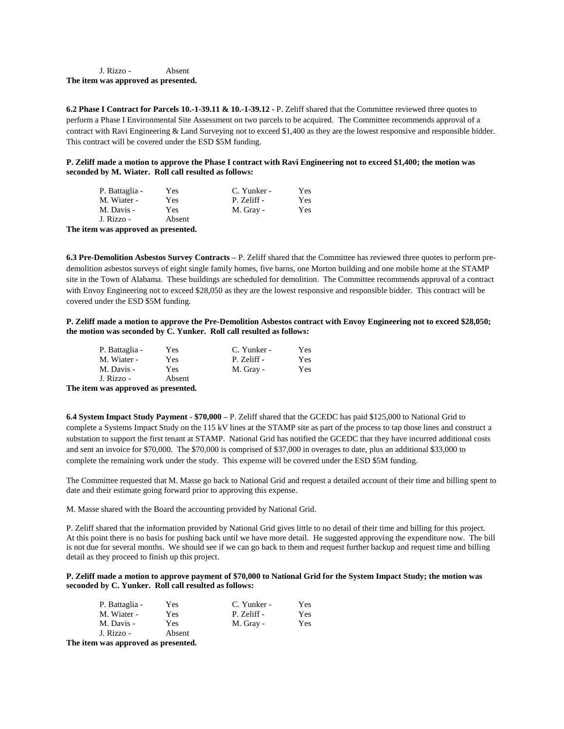J. Rizzo - Absent **The item was approved as presented.**

**6.2 Phase I Contract for Parcels 10.-1-39.11 & 10.-1-39.12 -** P. Zeliff shared that the Committee reviewed three quotes to perform a Phase I Environmental Site Assessment on two parcels to be acquired. The Committee recommends approval of a contract with Ravi Engineering & Land Surveying not to exceed \$1,400 as they are the lowest responsive and responsible bidder. This contract will be covered under the ESD \$5M funding.

**P. Zeliff made a motion to approve the Phase I contract with Ravi Engineering not to exceed \$1,400; the motion was seconded by M. Wiater. Roll call resulted as follows:**

|      | P. Battaglia - | Yes    | C. Yunker - | Yes |
|------|----------------|--------|-------------|-----|
|      | M. Wiater -    | Yes    | P. Zeliff - | Yes |
|      | M. Davis -     | Yes    | M. Gray -   | Yes |
|      | J. Rizzo -     | Absent |             |     |
| ma s |                |        |             |     |

**The item was approved as presented.**

**6.3 Pre-Demolition Asbestos Survey Contracts –** P. Zeliff shared that the Committee has reviewed three quotes to perform predemolition asbestos surveys of eight single family homes, five barns, one Morton building and one mobile home at the STAMP site in the Town of Alabama. These buildings are scheduled for demolition. The Committee recommends approval of a contract with Envoy Engineering not to exceed \$28,050 as they are the lowest responsive and responsible bidder. This contract will be covered under the ESD \$5M funding.

#### **P. Zeliff made a motion to approve the Pre-Demolition Asbestos contract with Envoy Engineering not to exceed \$28,050; the motion was seconded by C. Yunker. Roll call resulted as follows:**

|      | P. Battaglia - | Yes    | C. Yunker - | <b>Yes</b> |
|------|----------------|--------|-------------|------------|
|      | M. Wiater -    | Yes    | P. Zeliff - | Yes        |
|      | M. Davis -     | Yes    | M. Gray -   | Yes        |
|      | J. Rizzo -     | Absent |             |            |
| ma s |                |        |             |            |

**The item was approved as presented.**

**6.4 System Impact Study Payment - \$70,000 –** P. Zeliff shared that the GCEDC has paid \$125,000 to National Grid to complete a Systems Impact Study on the 115 kV lines at the STAMP site as part of the process to tap those lines and construct a substation to support the first tenant at STAMP. National Grid has notified the GCEDC that they have incurred additional costs and sent an invoice for \$70,000. The \$70,000 is comprised of \$37,000 in overages to date, plus an additional \$33,000 to complete the remaining work under the study. This expense will be covered under the ESD \$5M funding.

The Committee requested that M. Masse go back to National Grid and request a detailed account of their time and billing spent to date and their estimate going forward prior to approving this expense.

M. Masse shared with the Board the accounting provided by National Grid.

P. Zeliff shared that the information provided by National Grid gives little to no detail of their time and billing for this project. At this point there is no basis for pushing back until we have more detail. He suggested approving the expenditure now. The bill is not due for several months. We should see if we can go back to them and request further backup and request time and billing detail as they proceed to finish up this project.

## **P. Zeliff made a motion to approve payment of \$70,000 to National Grid for the System Impact Study; the motion was seconded by C. Yunker. Roll call resulted as follows:**

| P. Battaglia - | Yes    | C. Yunker - | <b>Yes</b> |
|----------------|--------|-------------|------------|
| M. Wiater -    | Yes    | P. Zeliff - | Yes        |
| M. Davis -     | Yes    | M. Gray -   | Yes        |
| J. Rizzo -     | Absent |             |            |

**The item was approved as presented.**